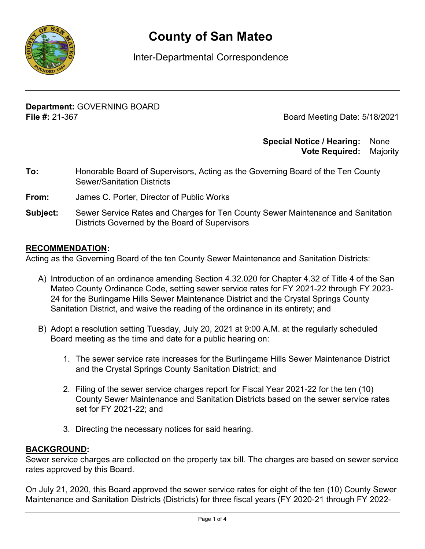

# **County of San Mateo**

## Inter-Departmental Correspondence

**Department:** GOVERNING BOARD **File #:** 21-367 Board Meeting Date: 5/18/2021

### **Special Notice / Hearing:** None\_\_ **Vote Required:** Majority

- **To:** Honorable Board of Supervisors, Acting as the Governing Board of the Ten County Sewer/Sanitation Districts
- **From:** James C. Porter, Director of Public Works
- **Subject:** Sewer Service Rates and Charges for Ten County Sewer Maintenance and Sanitation Districts Governed by the Board of Supervisors

### **RECOMMENDATION:**

Acting as the Governing Board of the ten County Sewer Maintenance and Sanitation Districts:

- A) Introduction of an ordinance amending Section 4.32.020 for Chapter 4.32 of Title 4 of the San Mateo County Ordinance Code, setting sewer service rates for FY 2021-22 through FY 2023- 24 for the Burlingame Hills Sewer Maintenance District and the Crystal Springs County Sanitation District, and waive the reading of the ordinance in its entirety; and
- B) Adopt a resolution setting Tuesday, July 20, 2021 at 9:00 A.M. at the regularly scheduled Board meeting as the time and date for a public hearing on:
	- 1. The sewer service rate increases for the Burlingame Hills Sewer Maintenance District and the Crystal Springs County Sanitation District; and
	- 2. Filing of the sewer service charges report for Fiscal Year 2021-22 for the ten (10) County Sewer Maintenance and Sanitation Districts based on the sewer service rates set for FY 2021-22; and
	- 3. Directing the necessary notices for said hearing.

## **BACKGROUND:**

Sewer service charges are collected on the property tax bill. The charges are based on sewer service rates approved by this Board.

On July 21, 2020, this Board approved the sewer service rates for eight of the ten (10) County Sewer Maintenance and Sanitation Districts (Districts) for three fiscal years (FY 2020-21 through FY 2022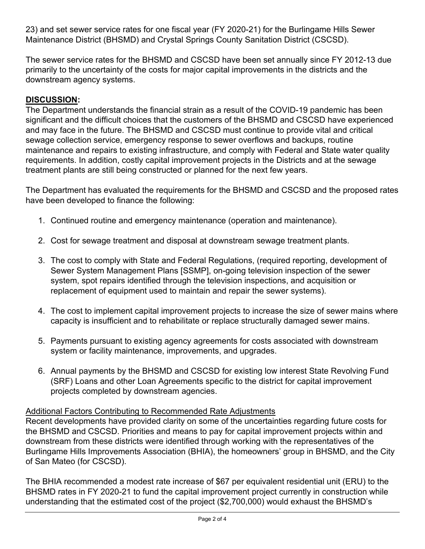23) and set sewer service rates for one fiscal year (FY 2020-21) for the Burlingame Hills Sewer Maintenance District (BHSMD) and Crystal Springs County Sanitation District (CSCSD).

The sewer service rates for the BHSMD and CSCSD have been set annually since FY 2012-13 due primarily to the uncertainty of the costs for major capital improvements in the districts and the downstream agency systems.

## **DISCUSSION:**

The Department understands the financial strain as a result of the COVID-19 pandemic has been significant and the difficult choices that the customers of the BHSMD and CSCSD have experienced and may face in the future. The BHSMD and CSCSD must continue to provide vital and critical sewage collection service, emergency response to sewer overflows and backups, routine maintenance and repairs to existing infrastructure, and comply with Federal and State water quality requirements. In addition, costly capital improvement projects in the Districts and at the sewage treatment plants are still being constructed or planned for the next few years.

The Department has evaluated the requirements for the BHSMD and CSCSD and the proposed rates have been developed to finance the following:

- 1. Continued routine and emergency maintenance (operation and maintenance).
- 2. Cost for sewage treatment and disposal at downstream sewage treatment plants.
- 3. The cost to comply with State and Federal Regulations, (required reporting, development of Sewer System Management Plans [SSMP], on-going television inspection of the sewer system, spot repairs identified through the television inspections, and acquisition or replacement of equipment used to maintain and repair the sewer systems).
- 4. The cost to implement capital improvement projects to increase the size of sewer mains where capacity is insufficient and to rehabilitate or replace structurally damaged sewer mains.
- 5. Payments pursuant to existing agency agreements for costs associated with downstream system or facility maintenance, improvements, and upgrades.
- 6. Annual payments by the BHSMD and CSCSD for existing low interest State Revolving Fund (SRF) Loans and other Loan Agreements specific to the district for capital improvement projects completed by downstream agencies.

## Additional Factors Contributing to Recommended Rate Adjustments

Recent developments have provided clarity on some of the uncertainties regarding future costs for the BHSMD and CSCSD. Priorities and means to pay for capital improvement projects within and downstream from these districts were identified through working with the representatives of the Burlingame Hills Improvements Association (BHIA), the homeowners' group in BHSMD, and the City of San Mateo (for CSCSD).

The BHIA recommended a modest rate increase of \$67 per equivalent residential unit (ERU) to the BHSMD rates in FY 2020-21 to fund the capital improvement project currently in construction while understanding that the estimated cost of the project (\$2,700,000) would exhaust the BHSMD's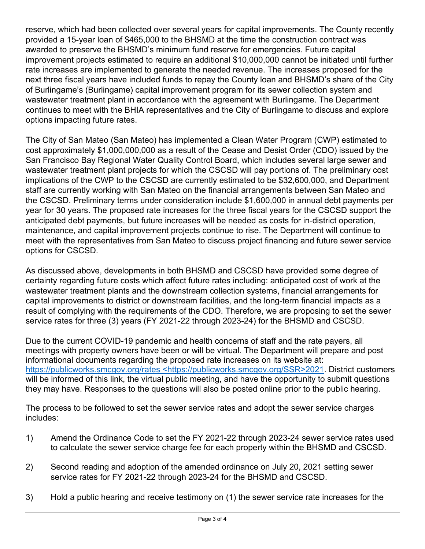reserve, which had been collected over several years for capital improvements. The County recently provided a 15-year loan of \$465,000 to the BHSMD at the time the construction contract was awarded to preserve the BHSMD's minimum fund reserve for emergencies. Future capital improvement projects estimated to require an additional \$10,000,000 cannot be initiated until further rate increases are implemented to generate the needed revenue. The increases proposed for the next three fiscal years have included funds to repay the County loan and BHSMD's share of the City of Burlingame's (Burlingame) capital improvement program for its sewer collection system and wastewater treatment plant in accordance with the agreement with Burlingame. The Department continues to meet with the BHIA representatives and the City of Burlingame to discuss and explore options impacting future rates.

The City of San Mateo (San Mateo) has implemented a Clean Water Program (CWP) estimated to cost approximately \$1,000,000,000 as a result of the Cease and Desist Order (CDO) issued by the San Francisco Bay Regional Water Quality Control Board, which includes several large sewer and wastewater treatment plant projects for which the CSCSD will pay portions of. The preliminary cost implications of the CWP to the CSCSD are currently estimated to be \$32,600,000, and Department staff are currently working with San Mateo on the financial arrangements between San Mateo and the CSCSD. Preliminary terms under consideration include \$1,600,000 in annual debt payments per year for 30 years. The proposed rate increases for the three fiscal years for the CSCSD support the anticipated debt payments, but future increases will be needed as costs for in-district operation, maintenance, and capital improvement projects continue to rise. The Department will continue to meet with the representatives from San Mateo to discuss project financing and future sewer service options for CSCSD.

As discussed above, developments in both BHSMD and CSCSD have provided some degree of certainty regarding future costs which affect future rates including: anticipated cost of work at the wastewater treatment plants and the downstream collection systems, financial arrangements for capital improvements to district or downstream facilities, and the long-term financial impacts as a result of complying with the requirements of the CDO. Therefore, we are proposing to set the sewer service rates for three (3) years (FY 2021-22 through 2023-24) for the BHSMD and CSCSD.

Due to the current COVID-19 pandemic and health concerns of staff and the rate payers, all meetings with property owners have been or will be virtual. The Department will prepare and post informational documents regarding the proposed rate increases on its website at: https://publicworks.smcgov.org/rates <https://publicworks.smcgov.org/SSR>2021. District customers will be informed of this link, the virtual public meeting, and have the opportunity to submit questions they may have. Responses to the questions will also be posted online prior to the public hearing.

The process to be followed to set the sewer service rates and adopt the sewer service charges includes:

- 1) Amend the Ordinance Code to set the FY 2021-22 through 2023-24 sewer service rates used to calculate the sewer service charge fee for each property within the BHSMD and CSCSD.
- 2) Second reading and adoption of the amended ordinance on July 20, 2021 setting sewer service rates for FY 2021-22 through 2023-24 for the BHSMD and CSCSD.
- 3) Hold a public hearing and receive testimony on (1) the sewer service rate increases for the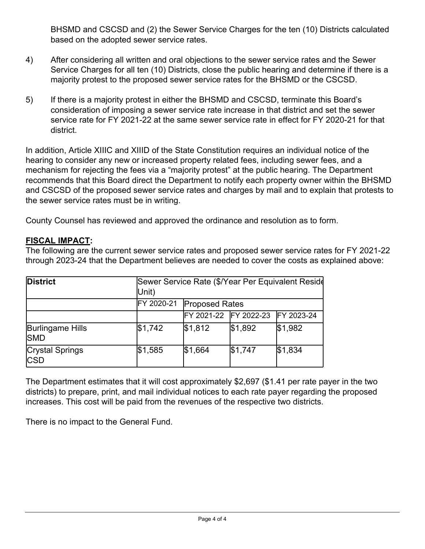BHSMD and CSCSD and (2) the Sewer Service Charges for the ten (10) Districts calculated based on the adopted sewer service rates.

- 4) After considering all written and oral objections to the sewer service rates and the Sewer Service Charges for all ten (10) Districts, close the public hearing and determine if there is a majority protest to the proposed sewer service rates for the BHSMD or the CSCSD.
- 5) If there is a majority protest in either the BHSMD and CSCSD, terminate this Board's consideration of imposing a sewer service rate increase in that district and set the sewer service rate for FY 2021-22 at the same sewer service rate in effect for FY 2020-21 for that district.

In addition, Article XIIIC and XIIID of the State Constitution requires an individual notice of the hearing to consider any new or increased property related fees, including sewer fees, and a mechanism for rejecting the fees via a "majority protest" at the public hearing. The Department recommends that this Board direct the Department to notify each property owner within the BHSMD and CSCSD of the proposed sewer service rates and charges by mail and to explain that protests to the sewer service rates must be in writing.

County Counsel has reviewed and approved the ordinance and resolution as to form.

## **FISCAL IMPACT:**

The following are the current sewer service rates and proposed sewer service rates for FY 2021-22 through 2023-24 that the Department believes are needed to cover the costs as explained above:

| <b>District</b>                       | Unit)      | Sewer Service Rate (\$/Year Per Equivalent Reside |                                  |         |  |  |  |
|---------------------------------------|------------|---------------------------------------------------|----------------------------------|---------|--|--|--|
|                                       | FY 2020-21 | <b>Proposed Rates</b>                             |                                  |         |  |  |  |
|                                       |            |                                                   | FY 2021-22 FY 2022-23 FY 2023-24 |         |  |  |  |
| <b>Burlingame Hills</b><br><b>SMD</b> | \$1,742    | \$1,812                                           | \$1,892                          | \$1,982 |  |  |  |
| <b>Crystal Springs</b><br><b>CSD</b>  | \$1,585    | \$1,664                                           | \$1,747                          | \$1,834 |  |  |  |

The Department estimates that it will cost approximately \$2,697 (\$1.41 per rate payer in the two districts) to prepare, print, and mail individual notices to each rate payer regarding the proposed increases. This cost will be paid from the revenues of the respective two districts.

There is no impact to the General Fund.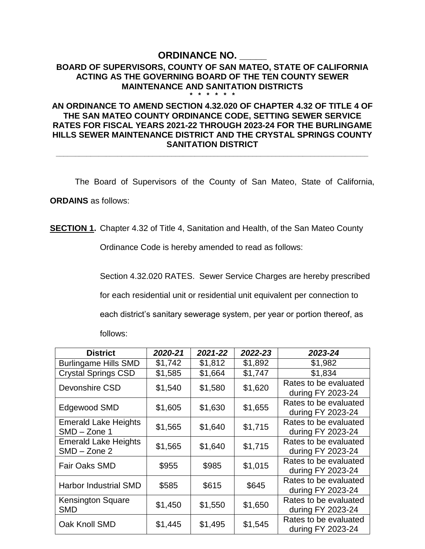# **ORDINANCE NO.**

#### **BOARD OF SUPERVISORS, COUNTY OF SAN MATEO, STATE OF CALIFORNIA ACTING AS THE GOVERNING BOARD OF THE TEN COUNTY SEWER MAINTENANCE AND SANITATION DISTRICTS \* \* \* \* \* \***

### **AN ORDINANCE TO AMEND SECTION 4.32.020 OF CHAPTER 4.32 OF TITLE 4 OF THE SAN MATEO COUNTY ORDINANCE CODE, SETTING SEWER SERVICE RATES FOR FISCAL YEARS 2021-22 THROUGH 2023-24 FOR THE BURLINGAME HILLS SEWER MAINTENANCE DISTRICT AND THE CRYSTAL SPRINGS COUNTY SANITATION DISTRICT**

**\_\_\_\_\_\_\_\_\_\_\_\_\_\_\_\_\_\_\_\_\_\_\_\_\_\_\_\_\_\_\_\_\_\_\_\_\_\_\_\_\_\_\_\_\_\_\_\_\_\_\_\_\_\_\_\_\_\_\_\_\_\_\_\_\_\_\_\_\_\_\_\_\_\_\_\_\_\_\_\_\_**

The Board of Supervisors of the County of San Mateo, State of California,

**ORDAINS** as follows:

**SECTION 1.** Chapter 4.32 of Title 4, Sanitation and Health, of the San Mateo County

Ordinance Code is hereby amended to read as follows:

Section 4.32.020 RATES. Sewer Service Charges are hereby prescribed for each residential unit or residential unit equivalent per connection to each district's sanitary sewerage system, per year or portion thereof, as follows:

| <b>District</b>                               | 2020-21 | 2021-22 | 2022-23 | 2023-24                                    |
|-----------------------------------------------|---------|---------|---------|--------------------------------------------|
| <b>Burlingame Hills SMD</b>                   | \$1,742 | \$1,812 | \$1,892 | \$1,982                                    |
| <b>Crystal Springs CSD</b>                    | \$1,585 | \$1,664 | \$1,747 | \$1,834                                    |
| Devonshire CSD                                | \$1,540 | \$1,580 | \$1,620 | Rates to be evaluated<br>during FY 2023-24 |
| Edgewood SMD                                  | \$1,605 | \$1,630 | \$1,655 | Rates to be evaluated<br>during FY 2023-24 |
| <b>Emerald Lake Heights</b><br>$SMD - Zone 1$ | \$1,565 | \$1,640 | \$1,715 | Rates to be evaluated<br>during FY 2023-24 |
| <b>Emerald Lake Heights</b><br>$SMD - Zone$ 2 | \$1,565 | \$1,640 | \$1,715 | Rates to be evaluated<br>during FY 2023-24 |
| <b>Fair Oaks SMD</b>                          | \$955   | \$985   | \$1,015 | Rates to be evaluated<br>during FY 2023-24 |
| <b>Harbor Industrial SMD</b>                  | \$585   | \$615   | \$645   | Rates to be evaluated<br>during FY 2023-24 |
| <b>Kensington Square</b><br><b>SMD</b>        | \$1,450 | \$1,550 | \$1,650 | Rates to be evaluated<br>during FY 2023-24 |
| Oak Knoll SMD                                 | \$1,445 | \$1,495 | \$1,545 | Rates to be evaluated<br>during FY 2023-24 |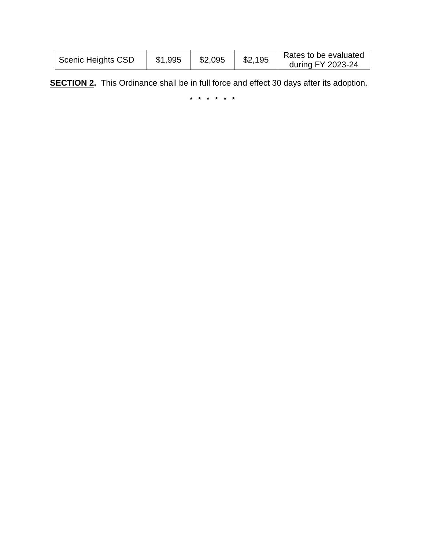| <sup>1</sup> Scenic Heights CSD | \$1,995 | \$2,095 | \$2,195 | Rates to be evaluated<br>during FY 2023-24 |
|---------------------------------|---------|---------|---------|--------------------------------------------|
|                                 |         |         |         |                                            |

**SECTION 2.** This Ordinance shall be in full force and effect 30 days after its adoption.

**\* \* \* \* \* \***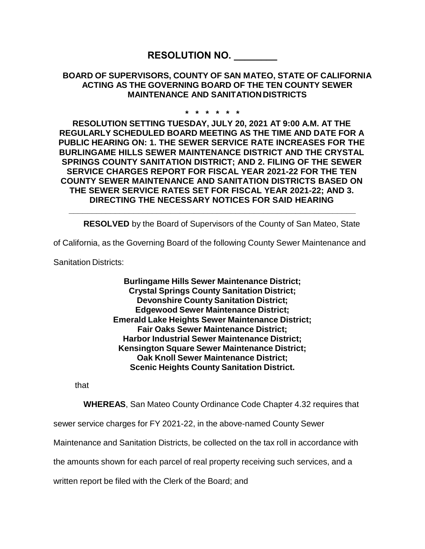## **RESOLUTION NO. \_\_\_\_\_\_\_\_**

### **BOARD OF SUPERVISORS, COUNTY OF SAN MATEO, STATE OF CALIFORNIA ACTING AS THE GOVERNING BOARD OF THE TEN COUNTY SEWER MAINTENANCE AND SANITATION DISTRICTS**

#### **\* \* \* \* \* \***

**RESOLUTION SETTING TUESDAY, JULY 20, 2021 AT 9:00 A.M. AT THE REGULARLY SCHEDULED BOARD MEETING AS THE TIME AND DATE FOR A PUBLIC HEARING ON: 1. THE SEWER SERVICE RATE INCREASES FOR THE BURLINGAME HILLS SEWER MAINTENANCE DISTRICT AND THE CRYSTAL SPRINGS COUNTY SANITATION DISTRICT; AND 2. FILING OF THE SEWER SERVICE CHARGES REPORT FOR FISCAL YEAR 2021-22 FOR THE TEN COUNTY SEWER MAINTENANCE AND SANITATION DISTRICTS BASED ON THE SEWER SERVICE RATES SET FOR FISCAL YEAR 2021-22; AND 3. DIRECTING THE NECESSARY NOTICES FOR SAID HEARING** 

**RESOLVED** by the Board of Supervisors of the County of San Mateo, State

of California, as the Governing Board of the following County Sewer Maintenance and

**\_\_\_\_\_\_\_\_\_\_\_\_\_\_\_\_\_\_\_\_\_\_\_\_\_\_\_\_\_\_\_\_\_\_\_\_\_\_\_\_\_\_\_\_\_\_\_\_\_\_\_\_\_\_\_\_\_\_\_\_\_\_**

Sanitation Districts:

**Burlingame Hills Sewer Maintenance District; Crystal Springs County Sanitation District; Devonshire County Sanitation District; Edgewood Sewer Maintenance District; Emerald Lake Heights Sewer Maintenance District; Fair Oaks Sewer Maintenance District; Harbor Industrial Sewer Maintenance District; Kensington Square Sewer Maintenance District; Oak Knoll Sewer Maintenance District; Scenic Heights County Sanitation District.**

that

**WHEREAS**, San Mateo County Ordinance Code Chapter 4.32 requires that

sewer service charges for FY 2021-22, in the above-named County Sewer

Maintenance and Sanitation Districts, be collected on the tax roll in accordance with

the amounts shown for each parcel of real property receiving such services, and a

written report be filed with the Clerk of the Board; and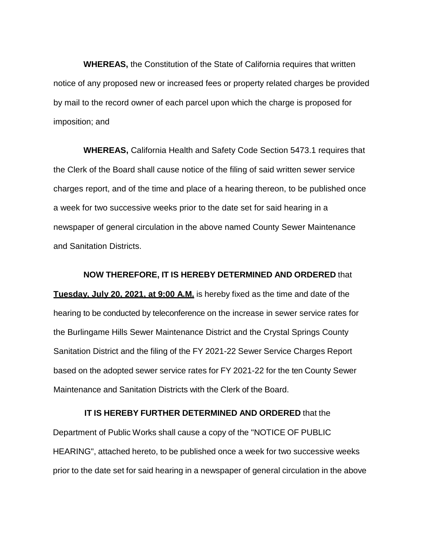**WHEREAS,** the Constitution of the State of California requires that written notice of any proposed new or increased fees or property related charges be provided by mail to the record owner of each parcel upon which the charge is proposed for imposition; and

**WHEREAS,** California Health and Safety Code Section 5473.1 requires that the Clerk of the Board shall cause notice of the filing of said written sewer service charges report, and of the time and place of a hearing thereon, to be published once a week for two successive weeks prior to the date set for said hearing in a newspaper of general circulation in the above named County Sewer Maintenance and Sanitation Districts.

**NOW THEREFORE, IT IS HEREBY DETERMINED AND ORDERED** that **Tuesday, July 20, 2021, at 9:00 A.M.** is hereby fixed as the time and date of the hearing to be conducted by teleconference on the increase in sewer service rates for the Burlingame Hills Sewer Maintenance District and the Crystal Springs County Sanitation District and the filing of the FY 2021-22 Sewer Service Charges Report based on the adopted sewer service rates for FY 2021-22 for the ten County Sewer Maintenance and Sanitation Districts with the Clerk of the Board.

#### **IT IS HEREBY FURTHER DETERMINED AND ORDERED** that the

Department of Public Works shall cause a copy of the "NOTICE OF PUBLIC HEARING", attached hereto, to be published once a week for two successive weeks prior to the date set for said hearing in a newspaper of general circulation in the above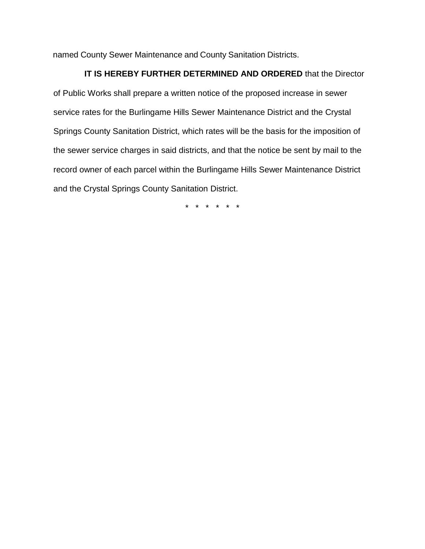named County Sewer Maintenance and County Sanitation Districts.

### **IT IS HEREBY FURTHER DETERMINED AND ORDERED** that the Director

of Public Works shall prepare a written notice of the proposed increase in sewer service rates for the Burlingame Hills Sewer Maintenance District and the Crystal Springs County Sanitation District, which rates will be the basis for the imposition of the sewer service charges in said districts, and that the notice be sent by mail to the record owner of each parcel within the Burlingame Hills Sewer Maintenance District and the Crystal Springs County Sanitation District.

\* \* \* \* \* \*